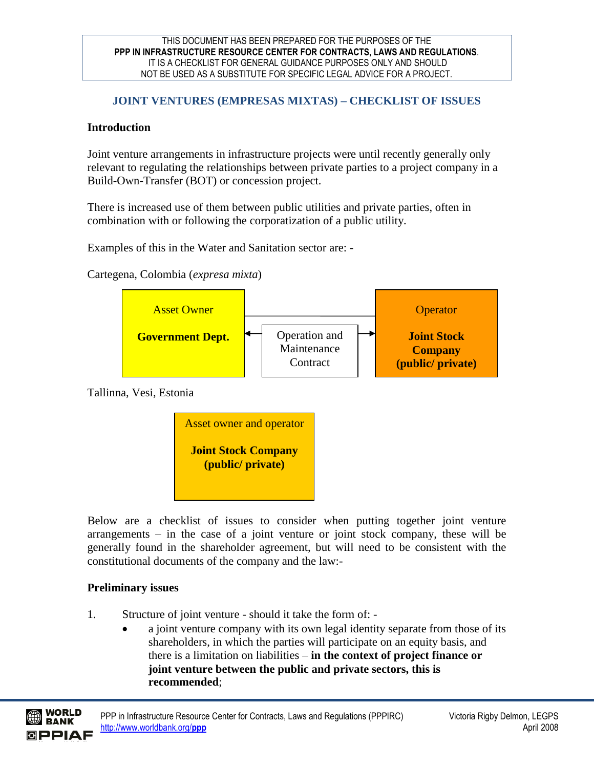## **JOINT VENTURES (EMPRESAS MIXTAS) – CHECKLIST OF ISSUES**

### **Introduction**

Joint venture arrangements in infrastructure projects were until recently generally only relevant to regulating the relationships between private parties to a project company in a Build-Own-Transfer (BOT) or concession project.

There is increased use of them between public utilities and private parties, often in combination with or following the corporatization of a public utility.

Examples of this in the Water and Sanitation sector are: -

Cartegena, Colombia (*expresa mixta*)



Tallinna, Vesi, Estonia



Below are a checklist of issues to consider when putting together joint venture arrangements – in the case of a joint venture or joint stock company, these will be generally found in the shareholder agreement, but will need to be consistent with the constitutional documents of the company and the law:-

## **Preliminary issues**

- 1. Structure of joint venture should it take the form of:
	- a joint venture company with its own legal identity separate from those of its shareholders, in which the parties will participate on an equity basis, and there is a limitation on liabilities – **in the context of project finance or joint venture between the public and private sectors, this is recommended**;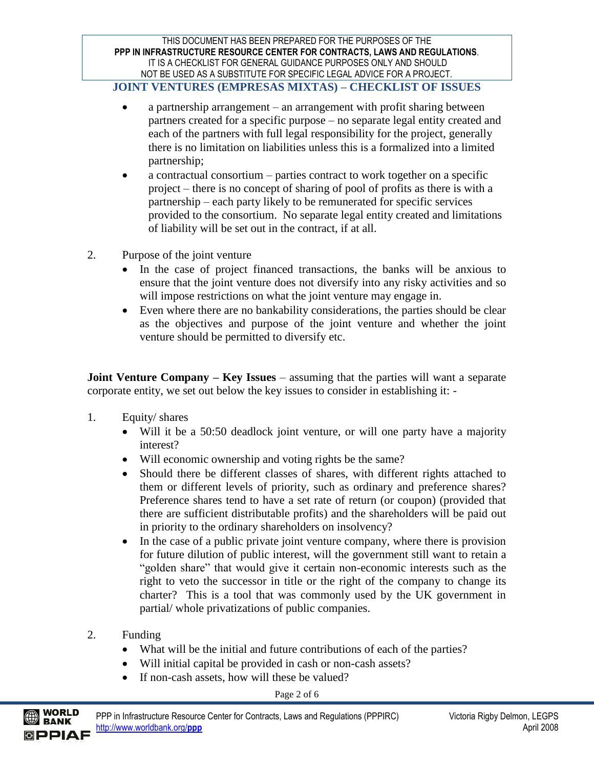### **JOINT VENTURES (EMPRESAS MIXTAS) – CHECKLIST OF ISSUES**

- a partnership arrangement an arrangement with profit sharing between partners created for a specific purpose – no separate legal entity created and each of the partners with full legal responsibility for the project, generally there is no limitation on liabilities unless this is a formalized into a limited partnership;
- a contractual consortium parties contract to work together on a specific project – there is no concept of sharing of pool of profits as there is with a partnership – each party likely to be remunerated for specific services provided to the consortium. No separate legal entity created and limitations of liability will be set out in the contract, if at all.
- 2. Purpose of the joint venture
	- In the case of project financed transactions, the banks will be anxious to ensure that the joint venture does not diversify into any risky activities and so will impose restrictions on what the joint venture may engage in.
	- Even where there are no bankability considerations, the parties should be clear as the objectives and purpose of the joint venture and whether the joint venture should be permitted to diversify etc.

**Joint Venture Company – Key Issues** – assuming that the parties will want a separate corporate entity, we set out below the key issues to consider in establishing it: -

- 1. Equity/ shares
	- Will it be a 50:50 deadlock joint venture, or will one party have a majority interest?
	- Will economic ownership and voting rights be the same?
	- Should there be different classes of shares, with different rights attached to them or different levels of priority, such as ordinary and preference shares? Preference shares tend to have a set rate of return (or coupon) (provided that there are sufficient distributable profits) and the shareholders will be paid out in priority to the ordinary shareholders on insolvency?
	- In the case of a public private joint venture company, where there is provision for future dilution of public interest, will the government still want to retain a "golden share" that would give it certain non-economic interests such as the right to veto the successor in title or the right of the company to change its charter? This is a tool that was commonly used by the UK government in partial/ whole privatizations of public companies.
- 2. Funding

BANK

- What will be the initial and future contributions of each of the parties?
- Will initial capital be provided in cash or non-cash assets?
- If non-cash assets, how will these be valued?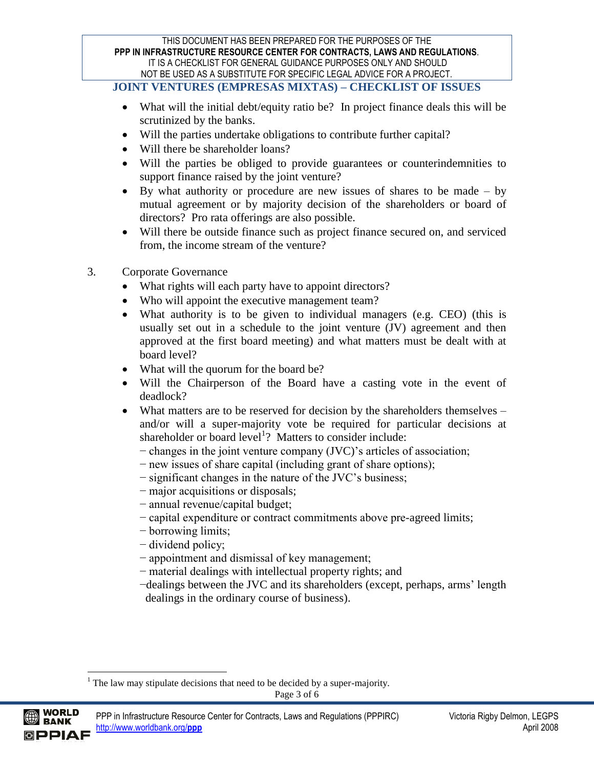### **JOINT VENTURES (EMPRESAS MIXTAS) – CHECKLIST OF ISSUES**

- What will the initial debt/equity ratio be? In project finance deals this will be scrutinized by the banks.
- Will the parties undertake obligations to contribute further capital?
- Will there be shareholder loans?
- Will the parties be obliged to provide guarantees or counterindemnities to support finance raised by the joint venture?
- By what authority or procedure are new issues of shares to be made by mutual agreement or by majority decision of the shareholders or board of directors? Pro rata offerings are also possible.
- Will there be outside finance such as project finance secured on, and serviced from, the income stream of the venture?
- 3. Corporate Governance
	- What rights will each party have to appoint directors?
	- Who will appoint the executive management team?
	- What authority is to be given to individual managers (e.g. CEO) (this is usually set out in a schedule to the joint venture (JV) agreement and then approved at the first board meeting) and what matters must be dealt with at board level?
	- What will the quorum for the board be?
	- Will the Chairperson of the Board have a casting vote in the event of deadlock?
	- What matters are to be reserved for decision by the shareholders themselves and/or will a super-majority vote be required for particular decisions at shareholder or board level<sup>1</sup>? Matters to consider include:
		- − changes in the joint venture company (JVC)"s articles of association;
		- − new issues of share capital (including grant of share options);
		- − significant changes in the nature of the JVC"s business;
		- − major acquisitions or disposals;
		- − annual revenue/capital budget;
		- − capital expenditure or contract commitments above pre-agreed limits;
		- − borrowing limits;
		- − dividend policy;
		- − appointment and dismissal of key management;
		- − material dealings with intellectual property rights; and
		- −dealings between the JVC and its shareholders (except, perhaps, arms" length dealings in the ordinary course of business).

<sup>1</sup> The law may stipulate decisions that need to be decided by a super-majority.



 $\overline{a}$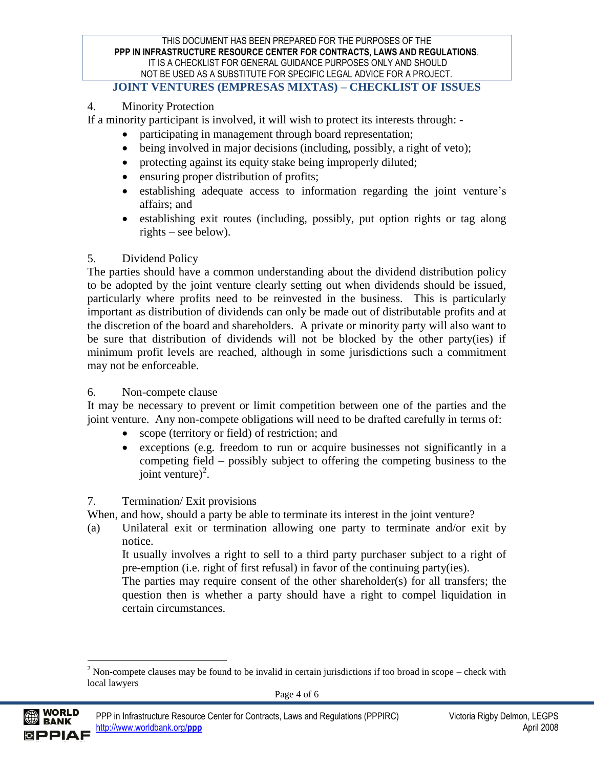### **JOINT VENTURES (EMPRESAS MIXTAS) – CHECKLIST OF ISSUES**

## 4. Minority Protection

If a minority participant is involved, it will wish to protect its interests through: -

- participating in management through board representation;
- being involved in major decisions (including, possibly, a right of veto);
- protecting against its equity stake being improperly diluted;
- ensuring proper distribution of profits;
- establishing adequate access to information regarding the joint venture"s affairs; and
- establishing exit routes (including, possibly, put option rights or tag along rights – see below).

## 5. Dividend Policy

The parties should have a common understanding about the dividend distribution policy to be adopted by the joint venture clearly setting out when dividends should be issued, particularly where profits need to be reinvested in the business. This is particularly important as distribution of dividends can only be made out of distributable profits and at the discretion of the board and shareholders. A private or minority party will also want to be sure that distribution of dividends will not be blocked by the other party(ies) if minimum profit levels are reached, although in some jurisdictions such a commitment may not be enforceable.

## 6. Non-compete clause

It may be necessary to prevent or limit competition between one of the parties and the joint venture. Any non-compete obligations will need to be drafted carefully in terms of:

- scope (territory or field) of restriction; and
- exceptions (e.g. freedom to run or acquire businesses not significantly in a competing field – possibly subject to offering the competing business to the joint venture) $^2$ .

# 7. Termination/ Exit provisions

When, and how, should a party be able to terminate its interest in the joint venture?

(a) Unilateral exit or termination allowing one party to terminate and/or exit by notice.

It usually involves a right to sell to a third party purchaser subject to a right of pre-emption (i.e. right of first refusal) in favor of the continuing party(ies).

The parties may require consent of the other shareholder(s) for all transfers; the question then is whether a party should have a right to compel liquidation in certain circumstances.



 $\overline{a}$ 

 $2$  Non-compete clauses may be found to be invalid in certain jurisdictions if too broad in scope – check with local lawyers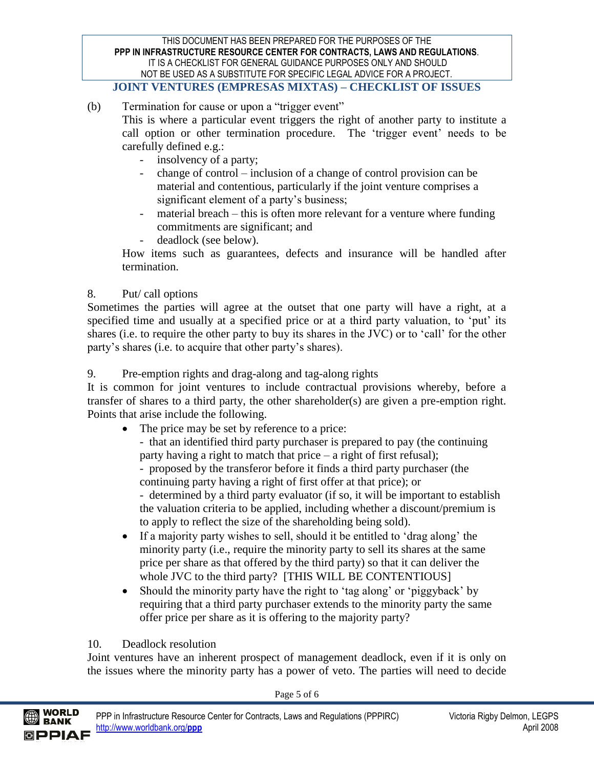**JOINT VENTURES (EMPRESAS MIXTAS) – CHECKLIST OF ISSUES**

- (b) Termination for cause or upon a "trigger event" This is where a particular event triggers the right of another party to institute a call option or other termination procedure. The 'trigger event' needs to be carefully defined e.g.:
	- insolvency of a party;
	- change of control inclusion of a change of control provision can be material and contentious, particularly if the joint venture comprises a significant element of a party's business;
	- material breach this is often more relevant for a venture where funding commitments are significant; and
	- deadlock (see below).

How items such as guarantees, defects and insurance will be handled after termination.

# 8. Put/ call options

Sometimes the parties will agree at the outset that one party will have a right, at a specified time and usually at a specified price or at a third party valuation, to 'put' its shares (i.e. to require the other party to buy its shares in the JVC) or to 'call' for the other party's shares (i.e. to acquire that other party's shares).

9. Pre-emption rights and drag-along and tag-along rights

It is common for joint ventures to include contractual provisions whereby, before a transfer of shares to a third party, the other shareholder(s) are given a pre-emption right. Points that arise include the following.

• The price may be set by reference to a price:

- that an identified third party purchaser is prepared to pay (the continuing party having a right to match that price – a right of first refusal);

- proposed by the transferor before it finds a third party purchaser (the continuing party having a right of first offer at that price); or

- determined by a third party evaluator (if so, it will be important to establish the valuation criteria to be applied, including whether a discount/premium is to apply to reflect the size of the shareholding being sold).

- If a majority party wishes to sell, should it be entitled to 'drag along' the minority party (i.e., require the minority party to sell its shares at the same price per share as that offered by the third party) so that it can deliver the whole JVC to the third party? [THIS WILL BE CONTENTIOUS]
- Should the minority party have the right to 'tag along' or 'piggyback' by requiring that a third party purchaser extends to the minority party the same offer price per share as it is offering to the majority party?

# 10. Deadlock resolution

Joint ventures have an inherent prospect of management deadlock, even if it is only on the issues where the minority party has a power of veto. The parties will need to decide